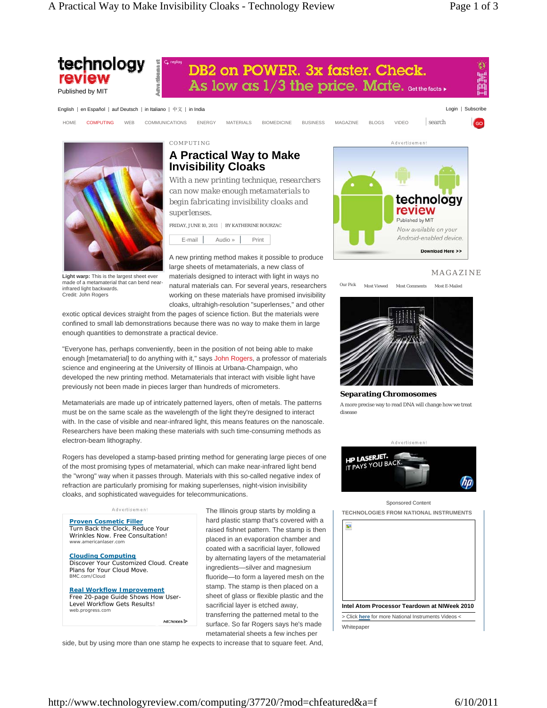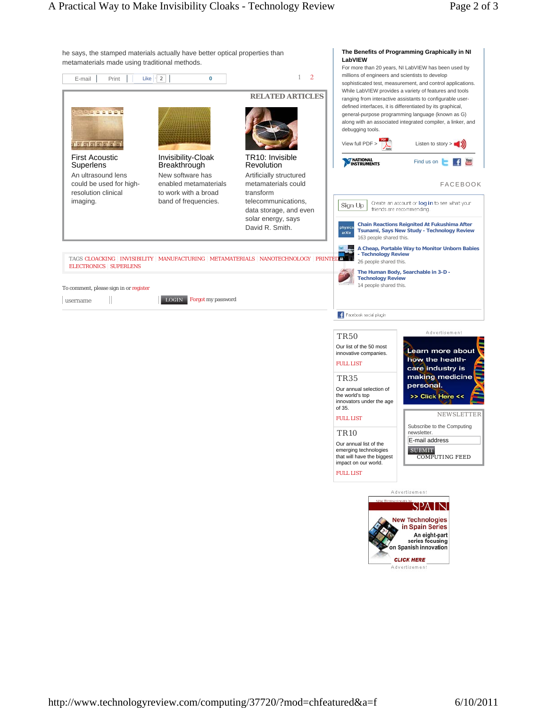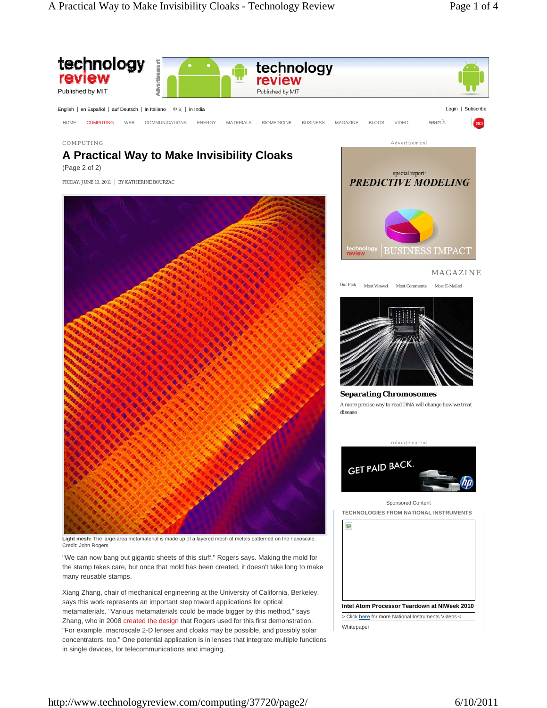